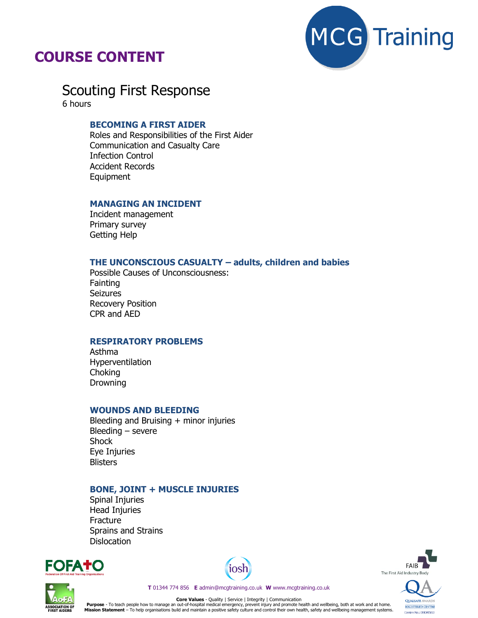

# **COURSE CONTENT**

Scouting First Response 6 hours

# **BECOMING A FIRST AIDER**

Roles and Responsibilities of the First Aider Communication and Casualty Care Infection Control Accident Records Equipment

#### **MANAGING AN INCIDENT**

Incident management Primary survey Getting Help

#### **THE UNCONSCIOUS CASUALTY – adults, children and babies**

Possible Causes of Unconsciousness: **Fainting** Seizures Recovery Position CPR and AED

## **RESPIRATORY PROBLEMS**

Asthma Hyperventilation Choking Drowning

#### **WOUNDS AND BLEEDING**

Bleeding and Bruising + minor injuries Bleeding – severe **Shock** Eye Injuries **Blisters** 

#### **BONE, JOINT + MUSCLE INJURIES**

Spinal Injuries Head Injuries Fracture Sprains and Strains **Dislocation** 









**OUALSAFE AV REGISTERED CENTRE** 

Centre No.: 0904583

**T** 01344 774 856 **E** admin@mcgtraining.co.uk **W** www.mcgtraining.co.uk

**Core Values** - Quality | Service | Integrity | Communication Purpose - To teach people how to manage an out-of-hospital medical emergency, prevent injury and promote health and wellbeing, both at work and at home.<br>Mission Statement – To help organisations build and maintain a positi